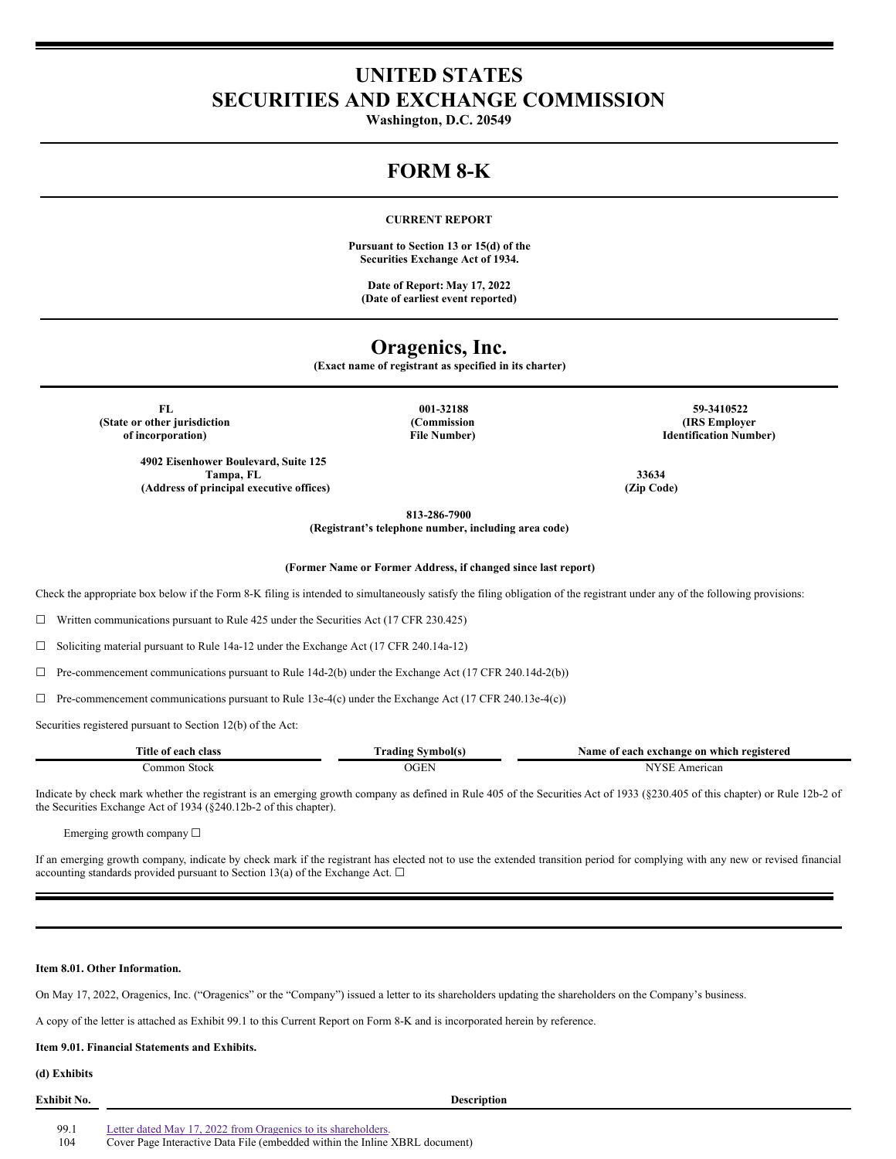# **UNITED STATES SECURITIES AND EXCHANGE COMMISSION**

**Washington, D.C. 20549**

# **FORM 8-K**

## **CURRENT REPORT**

**Pursuant to Section 13 or 15(d) of the Securities Exchange Act of 1934.**

**Date of Report: May 17, 2022 (Date of earliest event reported)**

# **Oragenics, Inc.**

**(Exact name of registrant as specified in its charter)**

**(State or other jurisdiction of incorporation)**

> **4902 Eisenhower Boulevard, Suite 125 Tampa, FL 33634**  $(A$ ddress of principal executive offices)

**(Commission File Number)**

**FL 001-32188 59-3410522 (IRS Employer Identification Number)**

**813-286-7900 (Registrant's telephone number, including area code)**

**(Former Name or Former Address, if changed since last report)**

Check the appropriate box below if the Form 8-K filing is intended to simultaneously satisfy the filing obligation of the registrant under any of the following provisions:

☐ Written communications pursuant to Rule 425 under the Securities Act (17 CFR 230.425)

☐ Soliciting material pursuant to Rule 14a-12 under the Exchange Act (17 CFR 240.14a-12)

 $\Box$  Pre-commencement communications pursuant to Rule 14d-2(b) under the Exchange Act (17 CFR 240.14d-2(b))

 $\Box$  Pre-commencement communications pursuant to Rule 13e-4(c) under the Exchange Act (17 CFR 240.13e-4(c))

Securities registered pursuant to Section 12(b) of the Act:

| Title<br>class<br>each<br>01 | Symbolts<br>radıng | registered<br>which<br>. vame<br>-on<br>each exchange<br>വ |
|------------------------------|--------------------|------------------------------------------------------------|
| `ommor<br>stock              |                    | TY.<br>Americar<br>N                                       |

Indicate by check mark whether the registrant is an emerging growth company as defined in Rule 405 of the Securities Act of 1933 (§230.405 of this chapter) or Rule 12b-2 of the Securities Exchange Act of 1934 (§240.12b-2 of this chapter).

Emerging growth company ☐

If an emerging growth company, indicate by check mark if the registrant has elected not to use the extended transition period for complying with any new or revised financial accounting standards provided pursuant to Section 13(a) of the Exchange Act.  $\square$ 

#### **Item 8.01. Other Information.**

On May 17, 2022, Oragenics, Inc. ("Oragenics" or the "Company") issued a letter to its shareholders updating the shareholders on the Company's business.

A copy of the letter is attached as Exhibit 99.1 to this Current Report on Form 8-K and is incorporated herein by reference.

## **Item 9.01. Financial Statements and Exhibits.**

# **(d) Exhibits**

| Exhibit No. | <b>Description</b>                                                          |
|-------------|-----------------------------------------------------------------------------|
|             |                                                                             |
| 99.1        | Letter dated May 17, 2022 from Oragenics to its shareholders.               |
| 104         | Cover Page Interactive Data File (embedded within the Inline XBRL document) |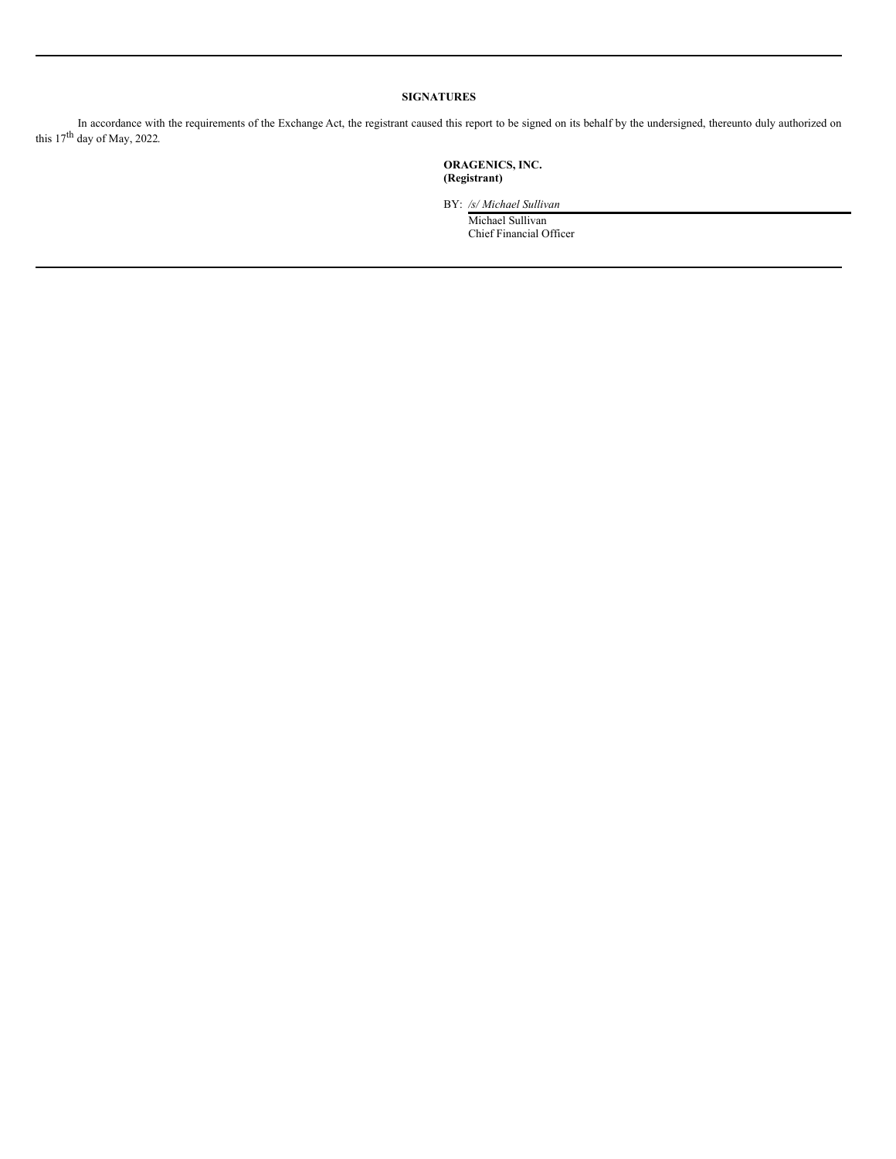# **SIGNATURES**

In accordance with the requirements of the Exchange Act, the registrant caused this report to be signed on its behalf by the undersigned, thereunto duly authorized on this  $17<sup>th</sup>$  day of May, 2022.

> **ORAGENICS, INC. (Registrant)**

BY: */s/ Michael Sullivan*

Michael Sullivan Chief Financial Officer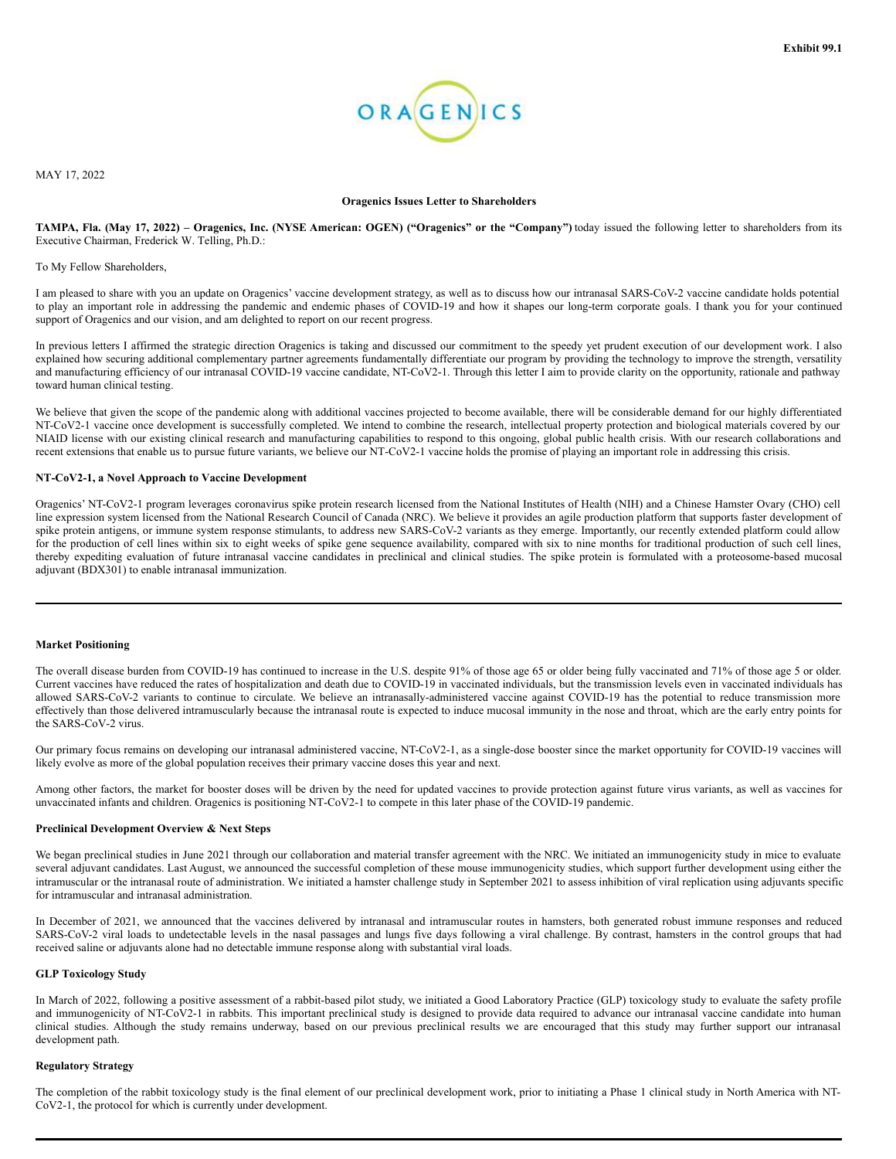

MAY 17, 2022

#### **Oragenics Issues Letter to Shareholders**

TAMPA, Fla. (May 17, 2022) – Oragenics, Inc. (NYSE American: OGEN) ("Oragenics" or the "Company") today issued the following letter to shareholders from its Executive Chairman, Frederick W. Telling, Ph.D.:

To My Fellow Shareholders,

I am pleased to share with you an update on Oragenics' vaccine development strategy, as well as to discuss how our intranasal SARS-CoV-2 vaccine candidate holds potential to play an important role in addressing the pandemic and endemic phases of COVID-19 and how it shapes our long-term corporate goals. I thank you for your continued support of Oragenics and our vision, and am delighted to report on our recent progress.

In previous letters I affirmed the strategic direction Oragenics is taking and discussed our commitment to the speedy yet prudent execution of our development work. I also explained how securing additional complementary partner agreements fundamentally differentiate our program by providing the technology to improve the strength, versatility and manufacturing efficiency of our intranasal COVID-19 vaccine candidate, NT-CoV2-1. Through this letter I aim to provide clarity on the opportunity, rationale and pathway toward human clinical testing.

We believe that given the scope of the pandemic along with additional vaccines projected to become available, there will be considerable demand for our highly differentiated NT-CoV2-1 vaccine once development is successfully completed. We intend to combine the research, intellectual property protection and biological materials covered by our NIAID license with our existing clinical research and manufacturing capabilities to respond to this ongoing, global public health crisis. With our research collaborations and recent extensions that enable us to pursue future variants, we believe our NT-CoV2-1 vaccine holds the promise of playing an important role in addressing this crisis.

#### **NT-CoV2-1, a Novel Approach to Vaccine Development**

Oragenics' NT-CoV2-1 program leverages coronavirus spike protein research licensed from the National Institutes of Health (NIH) and a Chinese Hamster Ovary (CHO) cell line expression system licensed from the National Research Council of Canada (NRC). We believe it provides an agile production platform that supports faster development of spike protein antigens, or immune system response stimulants, to address new SARS-CoV-2 variants as they emerge. Importantly, our recently extended platform could allow for the production of cell lines within six to eight weeks of spike gene sequence availability, compared with six to nine months for traditional production of such cell lines, thereby expediting evaluation of future intranasal vaccine candidates in preclinical and clinical studies. The spike protein is formulated with a proteosome-based mucosal adjuvant (BDX301) to enable intranasal immunization.

### **Market Positioning**

The overall disease burden from COVID-19 has continued to increase in the U.S. despite 91% of those age 65 or older being fully vaccinated and 71% of those age 5 or older. Current vaccines have reduced the rates of hospitalization and death due to COVID-19 in vaccinated individuals, but the transmission levels even in vaccinated individuals has allowed SARS-CoV-2 variants to continue to circulate. We believe an intranasally-administered vaccine against COVID-19 has the potential to reduce transmission more effectively than those delivered intramuscularly because the intranasal route is expected to induce mucosal immunity in the nose and throat, which are the early entry points for the SARS-CoV-2 virus.

Our primary focus remains on developing our intranasal administered vaccine, NT-CoV2-1, as a single-dose booster since the market opportunity for COVID-19 vaccines will likely evolve as more of the global population receives their primary vaccine doses this year and next.

Among other factors, the market for booster doses will be driven by the need for updated vaccines to provide protection against future virus variants, as well as vaccines for unvaccinated infants and children. Oragenics is positioning NT-CoV2-1 to compete in this later phase of the COVID-19 pandemic.

#### **Preclinical Development Overview & Next Steps**

We began preclinical studies in June 2021 through our collaboration and material transfer agreement with the NRC. We initiated an immunogenicity study in mice to evaluate several adjuvant candidates. Last August, we announced the successful completion of these mouse immunogenicity studies, which support further development using either the intramuscular or the intranasal route of administration. We initiated a hamster challenge study in September 2021 to assess inhibition of viral replication using adjuvants specific for intramuscular and intranasal administration.

In December of 2021, we announced that the vaccines delivered by intranasal and intramuscular routes in hamsters, both generated robust immune responses and reduced SARS-CoV-2 viral loads to undetectable levels in the nasal passages and lungs five days following a viral challenge. By contrast, hamsters in the control groups that had received saline or adjuvants alone had no detectable immune response along with substantial viral loads.

### **GLP Toxicology Study**

In March of 2022, following a positive assessment of a rabbit-based pilot study, we initiated a Good Laboratory Practice (GLP) toxicology study to evaluate the safety profile and immunogenicity of NT-CoV2-1 in rabbits. This important preclinical study is designed to provide data required to advance our intranasal vaccine candidate into human clinical studies. Although the study remains underway, based on our previous preclinical results we are encouraged that this study may further support our intranasal development path.

#### **Regulatory Strategy**

The completion of the rabbit toxicology study is the final element of our preclinical development work, prior to initiating a Phase 1 clinical study in North America with NT-CoV2-1, the protocol for which is currently under development.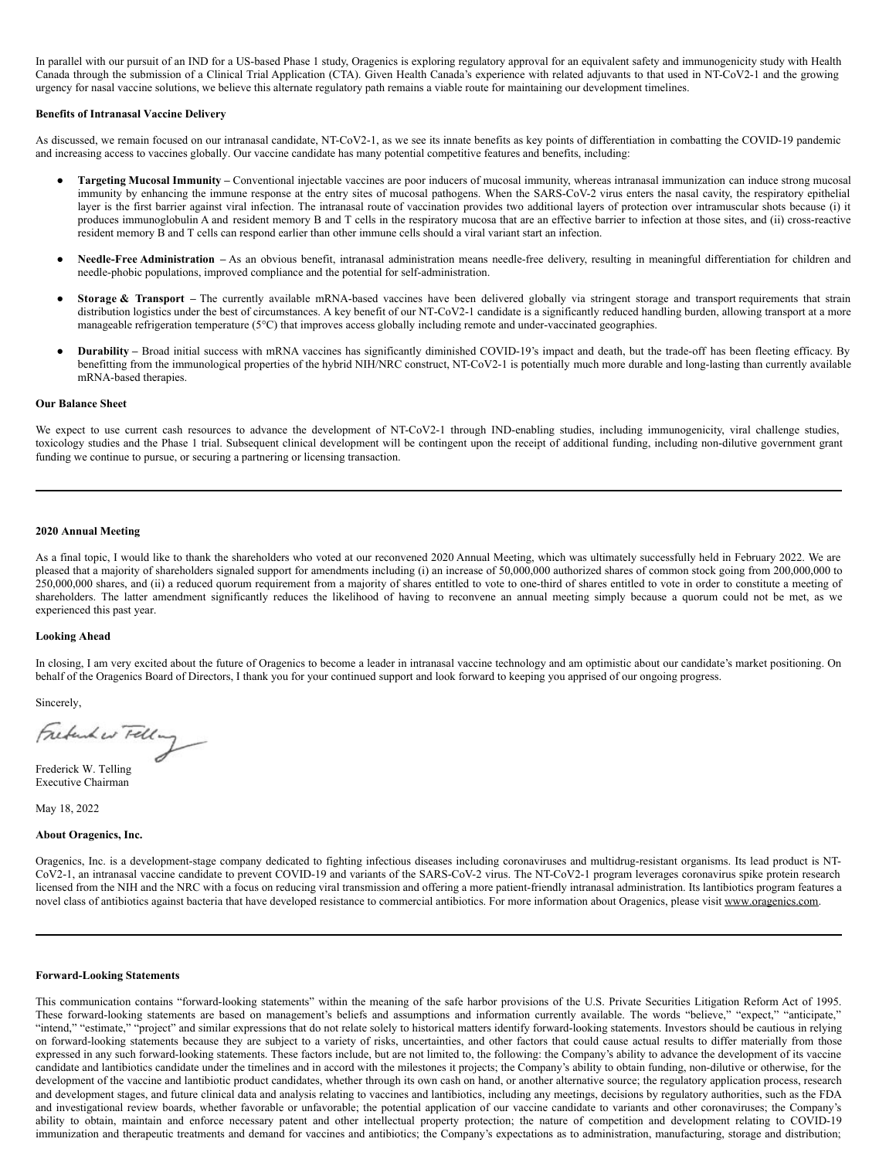<span id="page-3-0"></span>In parallel with our pursuit of an IND for a US-based Phase 1 study, Oragenics is exploring regulatory approval for an equivalent safety and immunogenicity study with Health Canada through the submission of a Clinical Trial Application (CTA). Given Health Canada's experience with related adjuvants to that used in NT-CoV2-1 and the growing urgency for nasal vaccine solutions, we believe this alternate regulatory path remains a viable route for maintaining our development timelines.

#### **Benefits of Intranasal Vaccine Delivery**

As discussed, we remain focused on our intranasal candidate, NT-CoV2-1, as we see its innate benefits as key points of differentiation in combatting the COVID-19 pandemic and increasing access to vaccines globally. Our vaccine candidate has many potential competitive features and benefits, including:

- Targeting Mucosal Immunity Conventional injectable vaccines are poor inducers of mucosal immunity, whereas intranasal immunization can induce strong mucosal immunity by enhancing the immune response at the entry sites of mucosal pathogens. When the SARS-CoV-2 virus enters the nasal cavity, the respiratory epithelial layer is the first barrier against viral infection. The intranasal route of vaccination provides two additional layers of protection over intramuscular shots because (i) it produces immunoglobulin A and resident memory B and T cells in the respiratory mucosa that are an effective barrier to infection at those sites, and (ii) cross-reactive resident memory B and T cells can respond earlier than other immune cells should a viral variant start an infection.
- Needle-Free Administration As an obvious benefit, intranasal administration means needle-free delivery, resulting in meaningful differentiation for children and needle-phobic populations, improved compliance and the potential for self-administration.
- Storage & Transport The currently available mRNA-based vaccines have been delivered globally via stringent storage and transport requirements that strain distribution logistics under the best of circumstances. A key benefit of our NT-CoV2-1 candidate is a significantly reduced handling burden, allowing transport at a more manageable refrigeration temperature (5°C) that improves access globally including remote and under-vaccinated geographies.
- **Durability** Broad initial success with mRNA vaccines has significantly diminished COVID-19's impact and death, but the trade-off has been fleeting efficacy. By benefitting from the immunological properties of the hybrid NIH/NRC construct, NT-CoV2-1 is potentially much more durable and long-lasting than currently available mRNA-based therapies.

#### **Our Balance Sheet**

We expect to use current cash resources to advance the development of NT-CoV2-1 through IND-enabling studies, including immunogenicity, viral challenge studies, toxicology studies and the Phase 1 trial. Subsequent clinical development will be contingent upon the receipt of additional funding, including non-dilutive government grant funding we continue to pursue, or securing a partnering or licensing transaction.

#### **2020 Annual Meeting**

As a final topic, I would like to thank the shareholders who voted at our reconvened 2020 Annual Meeting, which was ultimately successfully held in February 2022. We are pleased that a majority of shareholders signaled support for amendments including (i) an increase of 50,000,000 authorized shares of common stock going from 200,000,000 to 250,000,000 shares, and (ii) a reduced quorum requirement from a majority of shares entitled to vote to one-third of shares entitled to vote in order to constitute a meeting of shareholders. The latter amendment significantly reduces the likelihood of having to reconvene an annual meeting simply because a quorum could not be met, as we experienced this past year.

#### **Looking Ahead**

In closing, I am very excited about the future of Oragenics to become a leader in intranasal vaccine technology and am optimistic about our candidate's market positioning. On behalf of the Oragenics Board of Directors, I thank you for your continued support and look forward to keeping you apprised of our ongoing progress.

Sincerely,<br>Frederik er Felling

Frederick W. Telling Executive Chairman

May 18, 2022

### **About Oragenics, Inc.**

Oragenics, Inc. is a development-stage company dedicated to fighting infectious diseases including coronaviruses and multidrug-resistant organisms. Its lead product is NT-CoV2-1, an intranasal vaccine candidate to prevent COVID-19 and variants of the SARS-CoV-2 virus. The NT-CoV2-1 program leverages coronavirus spike protein research licensed from the NIH and the NRC with a focus on reducing viral transmission and offering a more patient-friendly intranasal administration. Its lantibiotics program features a novel class of antibiotics against bacteria that have developed resistance to commercial antibiotics. For more information about Oragenics, please visit www.oragenics.com.

#### **Forward-Looking Statements**

This communication contains "forward-looking statements" within the meaning of the safe harbor provisions of the U.S. Private Securities Litigation Reform Act of 1995. These forward-looking statements are based on management's beliefs and assumptions and information currently available. The words "believe," "expect," "anticipate," "intend," "estimate," "project" and similar expressions that do not relate solely to historical matters identify forward-looking statements. Investors should be cautious in relying on forward-looking statements because they are subject to a variety of risks, uncertainties, and other factors that could cause actual results to differ materially from those expressed in any such forward-looking statements. These factors include, but are not limited to, the following: the Company's ability to advance the development of its vaccine candidate and lantibiotics candidate under the timelines and in accord with the milestones it projects; the Company's ability to obtain funding, non-dilutive or otherwise, for the development of the vaccine and lantibiotic product candidates, whether through its own cash on hand, or another alternative source; the regulatory application process, research and development stages, and future clinical data and analysis relating to vaccines and lantibiotics, including any meetings, decisions by regulatory authorities, such as the FDA and investigational review boards, whether favorable or unfavorable; the potential application of our vaccine candidate to variants and other coronaviruses; the Company's ability to obtain, maintain and enforce necessary patent and other intellectual property protection; the nature of competition and development relating to COVID-19 immunization and therapeutic treatments and demand for vaccines and antibiotics; the Company's expectations as to administration, manufacturing, storage and distribution;